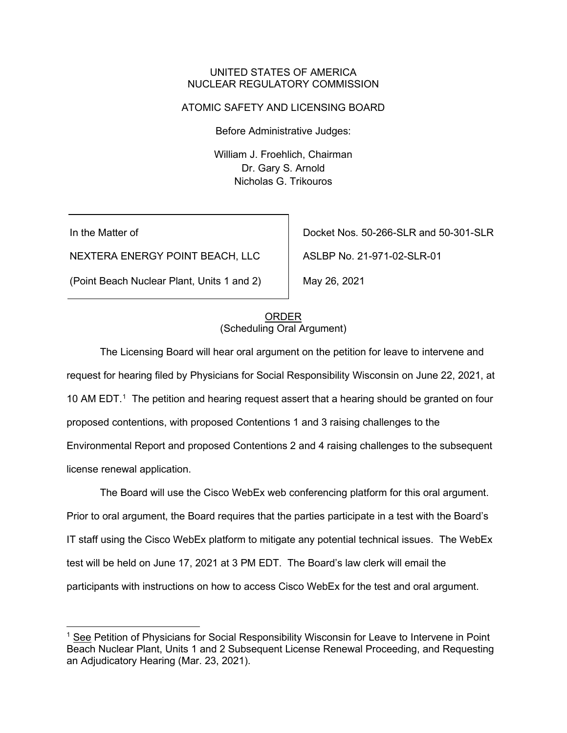### UNITED STATES OF AMERICA NUCLEAR REGULATORY COMMISSION

### ATOMIC SAFETY AND LICENSING BOARD

Before Administrative Judges:

William J. Froehlich, Chairman Dr. Gary S. Arnold Nicholas G. Trikouros

In the Matter of

NEXTERA ENERGY POINT BEACH, LLC

(Point Beach Nuclear Plant, Units 1 and 2)

Docket Nos. 50-266-SLR and 50-301-SLR

ASLBP No. 21-971-02-SLR-01

May 26, 2021

## ORDER (Scheduling Oral Argument)

The Licensing Board will hear oral argument on the petition for leave to intervene and request for hearing filed by Physicians for Social Responsibility Wisconsin on June 22, 2021, at [1](#page-0-0)0 AM EDT.<sup>1</sup> The petition and hearing request assert that a hearing should be granted on four proposed contentions, with proposed Contentions 1 and 3 raising challenges to the Environmental Report and proposed Contentions 2 and 4 raising challenges to the subsequent license renewal application.

The Board will use the Cisco WebEx web conferencing platform for this oral argument. Prior to oral argument, the Board requires that the parties participate in a test with the Board's IT staff using the Cisco WebEx platform to mitigate any potential technical issues. The WebEx test will be held on June 17, 2021 at 3 PM EDT. The Board's law clerk will email the participants with instructions on how to access Cisco WebEx for the test and oral argument.

<span id="page-0-0"></span><sup>1</sup> See Petition of Physicians for Social Responsibility Wisconsin for Leave to Intervene in Point Beach Nuclear Plant, Units 1 and 2 Subsequent License Renewal Proceeding, and Requesting an Adjudicatory Hearing (Mar. 23, 2021).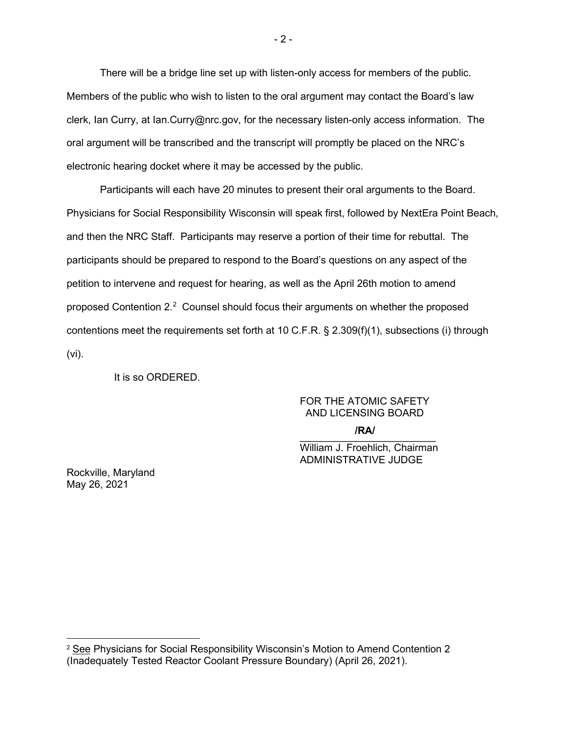There will be a bridge line set up with listen-only access for members of the public. Members of the public who wish to listen to the oral argument may contact the Board's law clerk, Ian Curry, at Ian.Curry@nrc.gov, for the necessary listen-only access information. The oral argument will be transcribed and the transcript will promptly be placed on the NRC's electronic hearing docket where it may be accessed by the public.

Participants will each have 20 minutes to present their oral arguments to the Board. Physicians for Social Responsibility Wisconsin will speak first, followed by NextEra Point Beach, and then the NRC Staff. Participants may reserve a portion of their time for rebuttal. The participants should be prepared to respond to the Board's questions on any aspect of the petition to intervene and request for hearing, as well as the April 26th motion to amend proposed Contention [2](#page-1-0).<sup>2</sup> Counsel should focus their arguments on whether the proposed contentions meet the requirements set forth at 10 C.F.R. § 2.309(f)(1), subsections (i) through (vi).

It is so ORDERED.

# FOR THE ATOMIC SAFETY AND LICENSING BOARD

 $\overline{\phantom{a}}$ **/RA/**

William J. Froehlich, Chairman ADMINISTRATIVE JUDGE

Rockville, Maryland May 26, 2021

<span id="page-1-0"></span><sup>2</sup> See Physicians for Social Responsibility Wisconsin's Motion to Amend Contention 2 (Inadequately Tested Reactor Coolant Pressure Boundary) (April 26, 2021).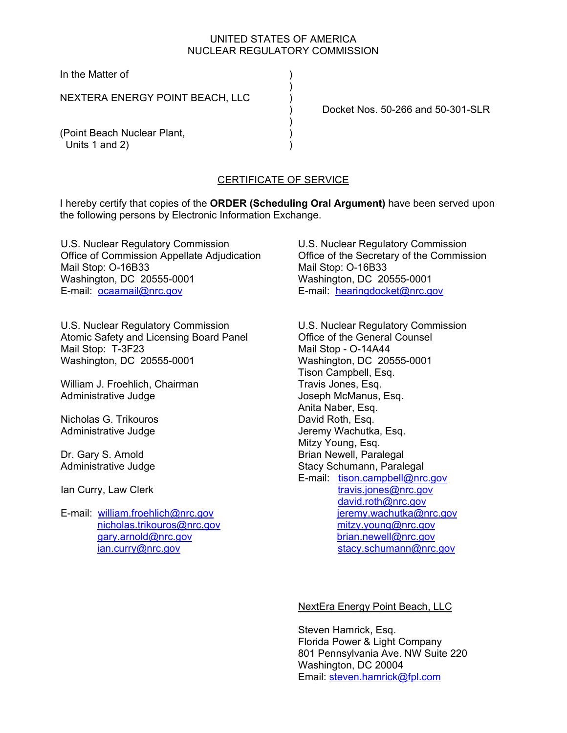## UNITED STATES OF AMERICA NUCLEAR REGULATORY COMMISSION

In the Matter of

NEXTERA ENERGY POINT BEACH, LLC )

 $)$ 

) and the contract of  $\mathcal{L}$ 

) Docket Nos. 50-266 and 50-301-SLR

(Point Beach Nuclear Plant, ) Units 1 and 2)

## CERTIFICATE OF SERVICE

I hereby certify that copies of the **ORDER (Scheduling Oral Argument)** have been served upon the following persons by Electronic Information Exchange.

U.S. Nuclear Regulatory Commission Office of Commission Appellate Adjudication Mail Stop: O-16B33 Washington, DC 20555-0001 E-mail: ocaamail@nrc.gov

U.S. Nuclear Regulatory Commission Atomic Safety and Licensing Board Panel Mail Stop: T-3F23 Washington, DC 20555-0001

William J. Froehlich, Chairman Administrative Judge

Nicholas G. Trikouros Administrative Judge

Dr. Gary S. Arnold Administrative Judge

Ian Curry, Law Clerk

E-mail: william.froehlich@nrc.gov nicholas.trikouros@nrc.gov gary.arnold@nrc.gov ian.curry@nrc.gov

U.S. Nuclear Regulatory Commission Office of the Secretary of the Commission Mail Stop: O-16B33 Washington, DC 20555-0001 E-mail: hearingdocket@nrc.gov

U.S. Nuclear Regulatory Commission Office of the General Counsel Mail Stop - O-14A44 Washington, DC 20555-0001 Tison Campbell, Esq. Travis Jones, Esq. Joseph McManus, Esq. Anita Naber, Esq. David Roth, Esq. Jeremy Wachutka, Esq. Mitzy Young, Esq. Brian Newell, Paralegal Stacy Schumann, Paralegal E-mail: tison.campbell@nrc.gov travis.jones@nrc.gov david.roth@nrc.gov ieremy.wachutka@nrc.gov mitzy.young@nrc.gov brian.newell@nrc.gov stacy.schumann@nrc.gov

#### NextEra Energy Point Beach, LLC

Steven Hamrick, Esq. Florida Power & Light Company 801 Pennsylvania Ave. NW Suite 220 Washington, DC 20004 Email: steven.hamrick@fpl.com